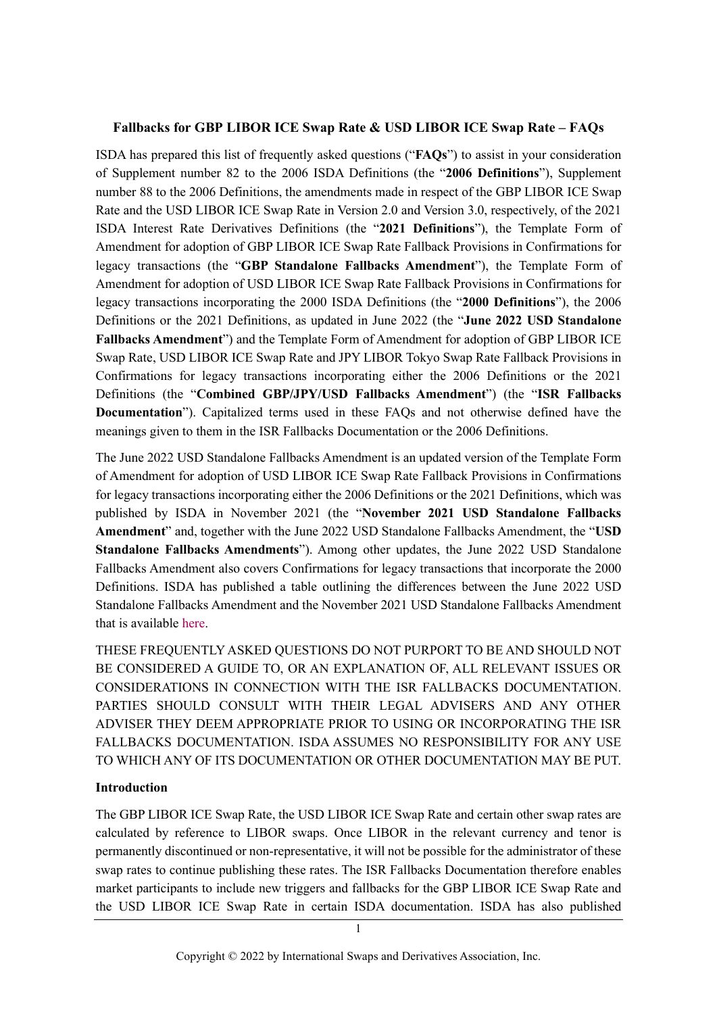#### **Fallbacks for GBP LIBOR ICE Swap Rate & USD LIBOR ICE Swap Rate – FAQs**

ISDA has prepared this list of frequently asked questions ("**FAQs**") to assist in your consideration of Supplement number 82 to the 2006 ISDA Definitions (the "**2006 Definitions**"), Supplement number 88 to the 2006 Definitions, the amendments made in respect of the GBP LIBOR ICE Swap Rate and the USD LIBOR ICE Swap Rate in Version 2.0 and Version 3.0, respectively, of the 2021 ISDA Interest Rate Derivatives Definitions (the "**2021 Definitions**"), the Template Form of Amendment for adoption of GBP LIBOR ICE Swap Rate Fallback Provisions in Confirmations for legacy transactions (the "**GBP Standalone Fallbacks Amendment**"), the Template Form of Amendment for adoption of USD LIBOR ICE Swap Rate Fallback Provisions in Confirmations for legacy transactions incorporating the 2000 ISDA Definitions (the "**2000 Definitions**"), the 2006 Definitions or the 2021 Definitions, as updated in June 2022 (the "**June 2022 USD Standalone Fallbacks Amendment**") and the Template Form of Amendment for adoption of GBP LIBOR ICE Swap Rate, USD LIBOR ICE Swap Rate and JPY LIBOR Tokyo Swap Rate Fallback Provisions in Confirmations for legacy transactions incorporating either the 2006 Definitions or the 2021 Definitions (the "**Combined GBP/JPY/USD Fallbacks Amendment**") (the "**ISR Fallbacks Documentation**"). Capitalized terms used in these FAQs and not otherwise defined have the meanings given to them in the ISR Fallbacks Documentation or the 2006 Definitions.

The June 2022 USD Standalone Fallbacks Amendment is an updated version of the Template Form of Amendment for adoption of USD LIBOR ICE Swap Rate Fallback Provisions in Confirmations for legacy transactions incorporating either the 2006 Definitions or the 2021 Definitions, which was published by ISDA in November 2021 (the "**November 2021 USD Standalone Fallbacks Amendment**" and, together with the June 2022 USD Standalone Fallbacks Amendment, the "**USD Standalone Fallbacks Amendments**"). Among other updates, the June 2022 USD Standalone Fallbacks Amendment also covers Confirmations for legacy transactions that incorporate the 2000 Definitions. ISDA has published a table outlining the differences between the June 2022 USD Standalone Fallbacks Amendment and the November 2021 USD Standalone Fallbacks Amendment that is available [here.](https://www.isda.org/a/7bWgE/Table-of-differences-between-the-BAAs-and-the-Module.pdf)

THESE FREQUENTLY ASKED QUESTIONS DO NOT PURPORT TO BE AND SHOULD NOT BE CONSIDERED A GUIDE TO, OR AN EXPLANATION OF, ALL RELEVANT ISSUES OR CONSIDERATIONS IN CONNECTION WITH THE ISR FALLBACKS DOCUMENTATION. PARTIES SHOULD CONSULT WITH THEIR LEGAL ADVISERS AND ANY OTHER ADVISER THEY DEEM APPROPRIATE PRIOR TO USING OR INCORPORATING THE ISR FALLBACKS DOCUMENTATION. ISDA ASSUMES NO RESPONSIBILITY FOR ANY USE TO WHICH ANY OF ITS DOCUMENTATION OR OTHER DOCUMENTATION MAY BE PUT.

#### **Introduction**

The GBP LIBOR ICE Swap Rate, the USD LIBOR ICE Swap Rate and certain other swap rates are calculated by reference to LIBOR swaps. Once LIBOR in the relevant currency and tenor is permanently discontinued or non-representative, it will not be possible for the administrator of these swap rates to continue publishing these rates. The ISR Fallbacks Documentation therefore enables market participants to include new triggers and fallbacks for the GBP LIBOR ICE Swap Rate and the USD LIBOR ICE Swap Rate in certain ISDA documentation. ISDA has also published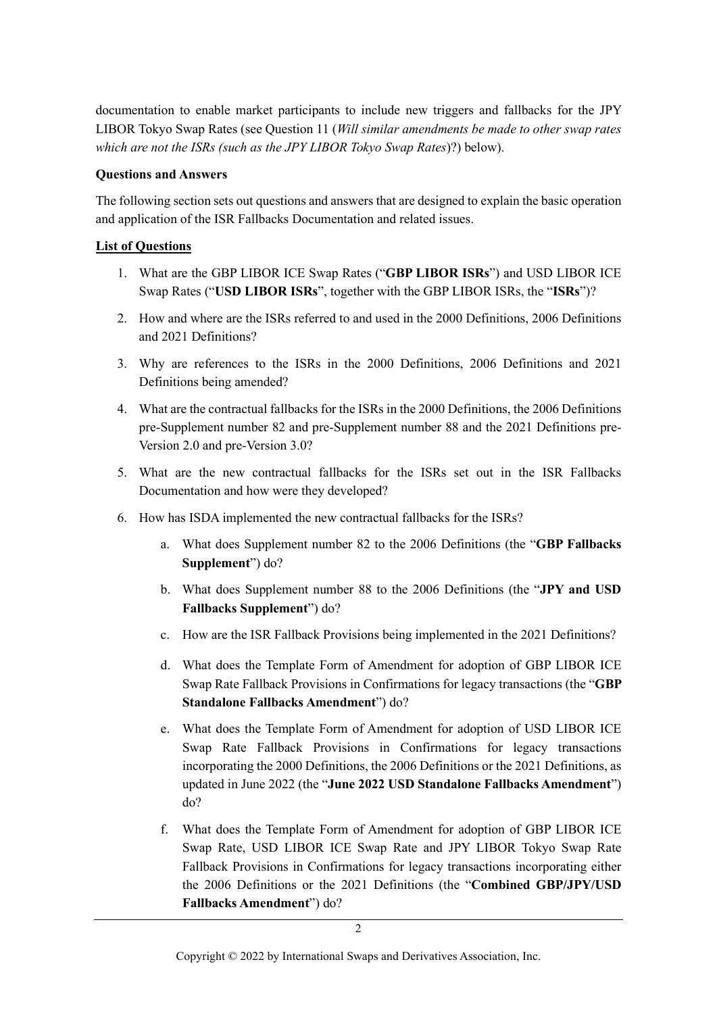documentation to enable market participants to include new triggers and fallbacks for the JPY LIBOR Tokyo Swap Rates (see Question 11 (*[Will similar amendments be made to other swap rates](#page-14-0)  [which are not the ISRs \(such as the JPY LIBOR Tokyo Swap Rates](#page-14-0)*)?) below).

### **Questions and Answers**

The following section sets out questions and answers that are designed to explain the basic operation and application of the ISR Fallbacks Documentation and related issues.

## **List of Questions**

- 1. What are the GBP LIBOR ICE Swap Rates ("**GBP LIBOR ISRs**") and USD LIBOR ICE Swap Rates ("**USD LIBOR ISRs**", together with the GBP LIBOR ISRs, the "**ISRs**")?
- 2. How and where are the ISRs referred to and used in the 2000 Definitions, 2006 Definitions and 2021 Definitions?
- 3. Why are references to the ISRs in the 2000 Definitions, 2006 Definitions and 2021 Definitions being amended?
- 4. What are the contractual fallbacks for the ISRs in the 2000 Definitions, the 2006 Definitions pre-Supplement number 82 and pre-Supplement number 88 and the 2021 Definitions pre-Version 2.0 and pre-Version 3.0?
- 5. What are the new contractual fallbacks for the ISRs set out in the ISR Fallbacks Documentation and how were they developed?
- 6. How has ISDA implemented the new contractual fallbacks for the ISRs?
	- a. What does Supplement number 82 to the 2006 Definitions (the "**GBP Fallbacks Supplement**") do?
	- b. What does Supplement number 88 to the 2006 Definitions (the "**JPY and USD Fallbacks Supplement**") do?
	- c. How are the ISR Fallback Provisions being implemented in the 2021 Definitions?
	- d. What does the Template Form of Amendment for adoption of GBP LIBOR ICE Swap Rate Fallback Provisions in Confirmations for legacy transactions (the "**GBP Standalone Fallbacks Amendment**") do?
	- e. What does the Template Form of Amendment for adoption of USD LIBOR ICE Swap Rate Fallback Provisions in Confirmations for legacy transactions incorporating the 2000 Definitions, the 2006 Definitions or the 2021 Definitions, as updated in June 2022 (the "**June 2022 USD Standalone Fallbacks Amendment**") do?
	- f. What does the Template Form of Amendment for adoption of GBP LIBOR ICE Swap Rate, USD LIBOR ICE Swap Rate and JPY LIBOR Tokyo Swap Rate Fallback Provisions in Confirmations for legacy transactions incorporating either the 2006 Definitions or the 2021 Definitions (the "**Combined GBP/JPY/USD Fallbacks Amendment**") do?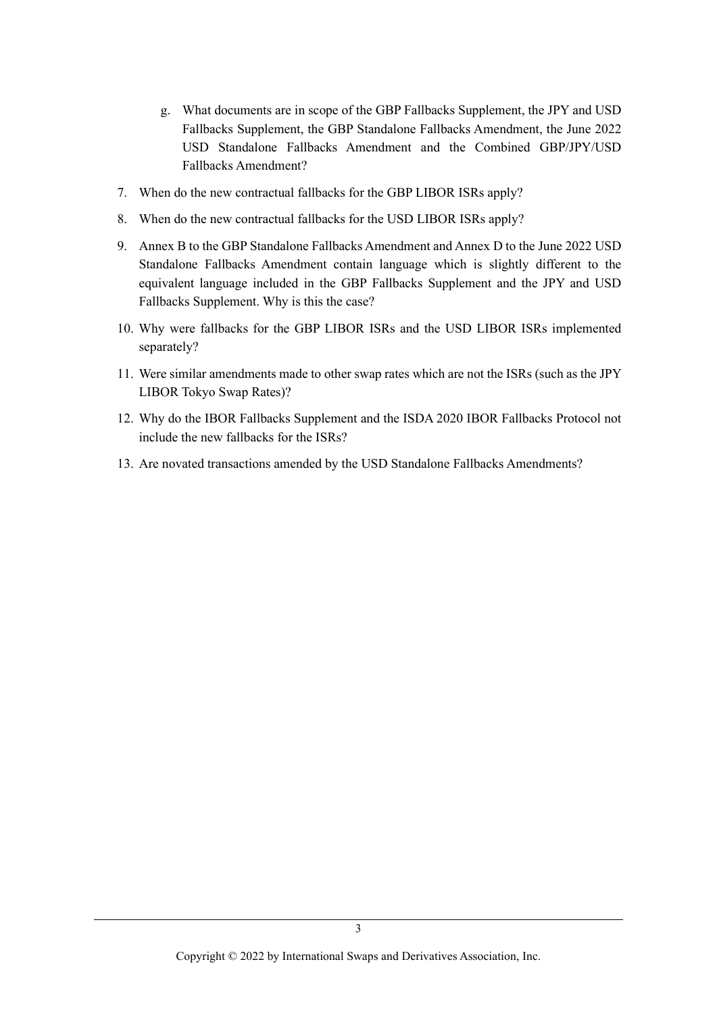- g. What documents are in scope of the GBP Fallbacks Supplement, the JPY and USD Fallbacks Supplement, the GBP Standalone Fallbacks Amendment, the June 2022 USD Standalone Fallbacks Amendment and the Combined GBP/JPY/USD Fallbacks Amendment?
- 7. When do the new contractual fallbacks for the GBP LIBOR ISRs apply?
- 8. When do the new contractual fallbacks for the USD LIBOR ISRs apply?
- 9. Annex B to the GBP Standalone Fallbacks Amendment and Annex D to the June 2022 USD Standalone Fallbacks Amendment contain language which is slightly different to the equivalent language included in the GBP Fallbacks Supplement and the JPY and USD Fallbacks Supplement. Why is this the case?
- 10. Why were fallbacks for the GBP LIBOR ISRs and the USD LIBOR ISRs implemented separately?
- 11. Were similar amendments made to other swap rates which are not the ISRs (such as the JPY LIBOR Tokyo Swap Rates)?
- 12. Why do the IBOR Fallbacks Supplement and the ISDA 2020 IBOR Fallbacks Protocol not include the new fallbacks for the ISRs?
- 13. Are novated transactions amended by the USD Standalone Fallbacks Amendments?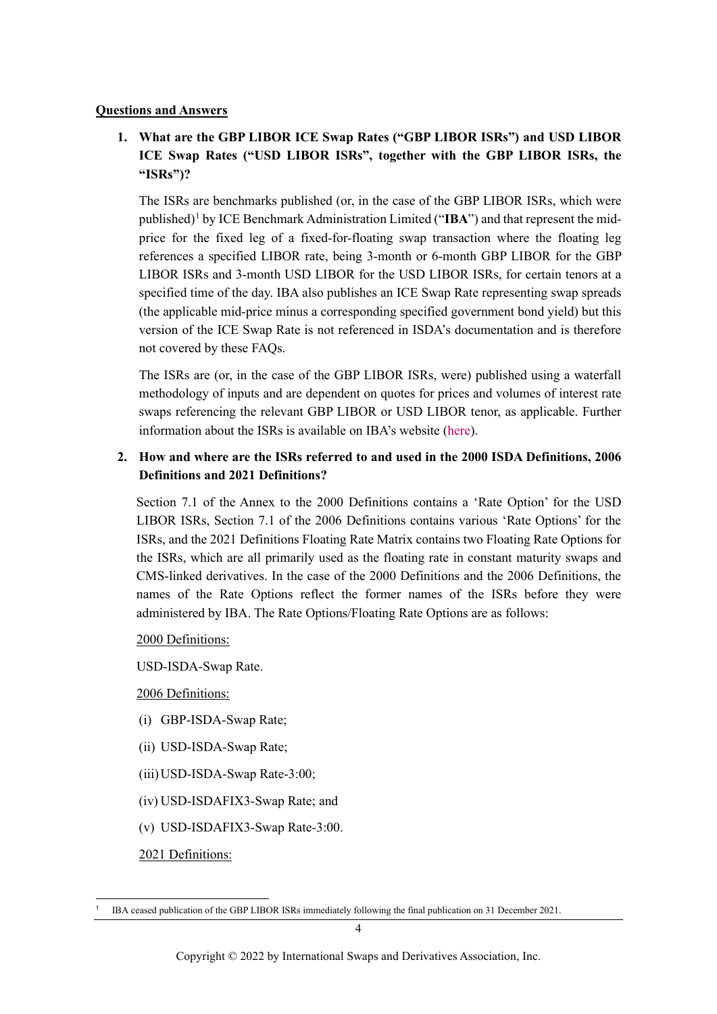#### **Questions and Answers**

# <span id="page-3-1"></span>**1. What are the GBP LIBOR ICE Swap Rates ("GBP LIBOR ISRs") and USD LIBOR ICE Swap Rates ("USD LIBOR ISRs", together with the GBP LIBOR ISRs, the "ISRs")?**

The ISRs are benchmarks published (or, in the case of the GBP LIBOR ISRs, which were published)[1](#page-3-0) by ICE Benchmark Administration Limited ("**IBA**") and that represent the midprice for the fixed leg of a fixed-for-floating swap transaction where the floating leg references a specified LIBOR rate, being 3-month or 6-month GBP LIBOR for the GBP LIBOR ISRs and 3-month USD LIBOR for the USD LIBOR ISRs, for certain tenors at a specified time of the day. IBA also publishes an ICE Swap Rate representing swap spreads (the applicable mid-price minus a corresponding specified government bond yield) but this version of the ICE Swap Rate is not referenced in ISDA's documentation and is therefore not covered by these FAQs.

The ISRs are (or, in the case of the GBP LIBOR ISRs, were) published using a waterfall methodology of inputs and are dependent on quotes for prices and volumes of interest rate swaps referencing the relevant GBP LIBOR or USD LIBOR tenor, as applicable. Further information about the ISRs is available on IBA's website [\(here\)](https://www.theice.com/iba/ice-swap-rate).

## <span id="page-3-2"></span>**2. How and where are the ISRs referred to and used in the 2000 ISDA Definitions, 2006 Definitions and 2021 Definitions?**

Section 7.1 of the Annex to the 2000 Definitions contains a 'Rate Option' for the USD LIBOR ISRs, Section 7.1 of the 2006 Definitions contains various 'Rate Options' for the ISRs, and the 2021 Definitions Floating Rate Matrix contains two Floating Rate Options for the ISRs, which are all primarily used as the floating rate in constant maturity swaps and CMS-linked derivatives. In the case of the 2000 Definitions and the 2006 Definitions, the names of the Rate Options reflect the former names of the ISRs before they were administered by IBA. The Rate Options/Floating Rate Options are as follows:

2000 Definitions:

USD-ISDA-Swap Rate.

2006 Definitions:

- (i) GBP-ISDA-Swap Rate;
- (ii) USD-ISDA-Swap Rate;
- (iii)USD-ISDA-Swap Rate-3:00;
- (iv) USD-ISDAFIX3-Swap Rate; and
- (v) USD-ISDAFIX3-Swap Rate-3:00.

2021 Definitions:

<span id="page-3-0"></span><sup>1</sup> IBA ceased publication of the GBP LIBOR ISRs immediately following the final publication on 31 December 2021.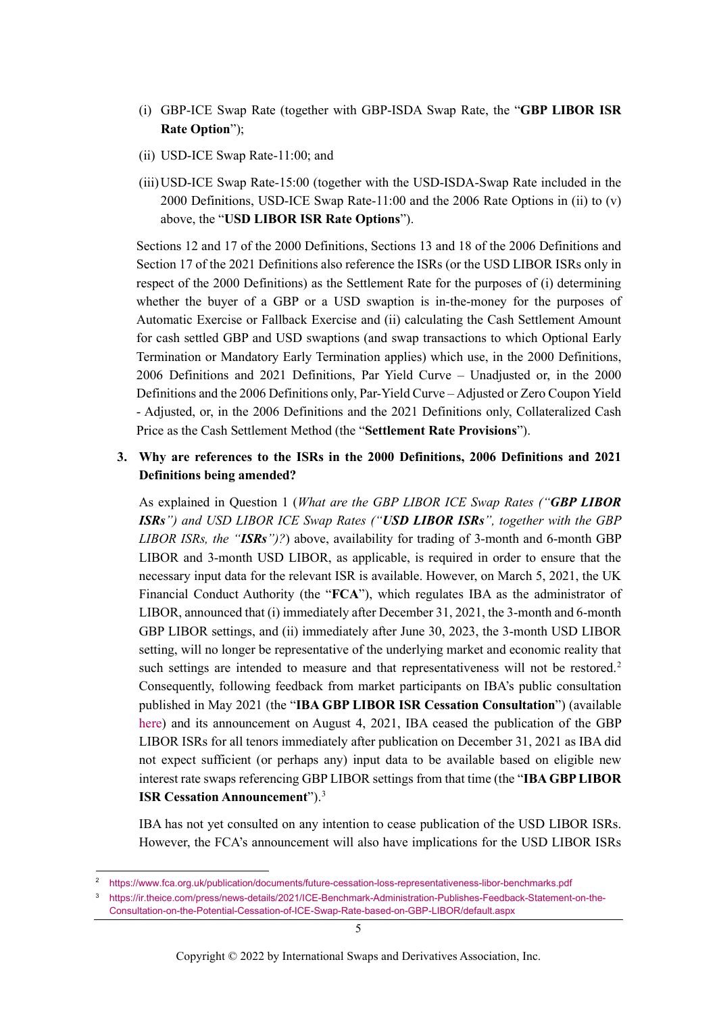- (i) GBP-ICE Swap Rate (together with GBP-ISDA Swap Rate, the "**GBP LIBOR ISR Rate Option**");
- (ii) USD-ICE Swap Rate-11:00; and
- (iii)USD-ICE Swap Rate-15:00 (together with the USD-ISDA-Swap Rate included in the 2000 Definitions, USD-ICE Swap Rate-11:00 and the 2006 Rate Options in (ii) to (v) above, the "**USD LIBOR ISR Rate Options**").

Sections 12 and 17 of the 2000 Definitions, Sections 13 and 18 of the 2006 Definitions and Section 17 of the 2021 Definitions also reference the ISRs (or the USD LIBOR ISRs only in respect of the 2000 Definitions) as the Settlement Rate for the purposes of (i) determining whether the buyer of a GBP or a USD swaption is in-the-money for the purposes of Automatic Exercise or Fallback Exercise and (ii) calculating the Cash Settlement Amount for cash settled GBP and USD swaptions (and swap transactions to which Optional Early Termination or Mandatory Early Termination applies) which use, in the 2000 Definitions, 2006 Definitions and 2021 Definitions, Par Yield Curve – Unadjusted or, in the 2000 Definitions and the 2006 Definitions only, Par-Yield Curve – Adjusted or Zero Coupon Yield - Adjusted, or, in the 2006 Definitions and the 2021 Definitions only, Collateralized Cash Price as the Cash Settlement Method (the "**Settlement Rate Provisions**").

### <span id="page-4-2"></span>**3. Why are references to the ISRs in the 2000 Definitions, 2006 Definitions and 2021 Definitions being amended?**

As explained in Question 1 (*[What are the GBP LIBOR ICE Swap Rates \("](#page-3-1)GBP LIBOR ISRs["\) and USD LIBOR ICE Swap Rates \("](#page-3-1)USD LIBOR ISRs", together with the GBP [LIBOR ISRs, the](#page-3-1) "ISRs")?*) above, availability for trading of 3-month and 6-month GBP LIBOR and 3-month USD LIBOR, as applicable, is required in order to ensure that the necessary input data for the relevant ISR is available. However, on March 5, 2021, the UK Financial Conduct Authority (the "**FCA**"), which regulates IBA as the administrator of LIBOR, announced that (i) immediately after December 31, 2021, the 3-month and 6-month GBP LIBOR settings, and (ii) immediately after June 30, 2023, the 3-month USD LIBOR setting, will no longer be representative of the underlying market and economic reality that such settings are intended to measure and that representativeness will not be restored. [2](#page-4-0) Consequently, following feedback from market participants on IBA's public consultation published in May 2021 (the "**IBA GBP LIBOR ISR Cessation Consultation**") (available [here\)](https://www.theice.com/publicdocs/ICE_Benchmark_Administration_Consults_on_Potential_Cessation__of_ICE_SWAP_Rate_based_on_GBP_LIBOR.pdf) and its announcement on August 4, 2021, IBA ceased the publication of the GBP LIBOR ISRs for all tenors immediately after publication on December 31, 2021 as IBA did not expect sufficient (or perhaps any) input data to be available based on eligible new interest rate swaps referencing GBP LIBOR settings from that time (the "**IBA GBP LIBOR ISR Cessation Announcement**"). [3](#page-4-1)

IBA has not yet consulted on any intention to cease publication of the USD LIBOR ISRs. However, the FCA's announcement will also have implications for the USD LIBOR ISRs

<span id="page-4-1"></span><span id="page-4-0"></span><sup>2</sup> <https://www.fca.org.uk/publication/documents/future-cessation-loss-representativeness-libor-benchmarks.pdf>

<sup>3</sup> [https://ir.theice.com/press/news-details/2021/ICE-Benchmark-Administration-Publishes-Feedback-Statement-on-the-](https://ir.theice.com/press/news-details/2021/ICE-Benchmark-Administration-Publishes-Feedback-Statement-on-the-Consultation-on-the-Potential-Cessation-of-ICE-Swap-Rate-based-on-GBP-LIBOR/default.aspx)[Consultation-on-the-Potential-Cessation-of-ICE-Swap-Rate-based-on-GBP-LIBOR/default.aspx](https://ir.theice.com/press/news-details/2021/ICE-Benchmark-Administration-Publishes-Feedback-Statement-on-the-Consultation-on-the-Potential-Cessation-of-ICE-Swap-Rate-based-on-GBP-LIBOR/default.aspx)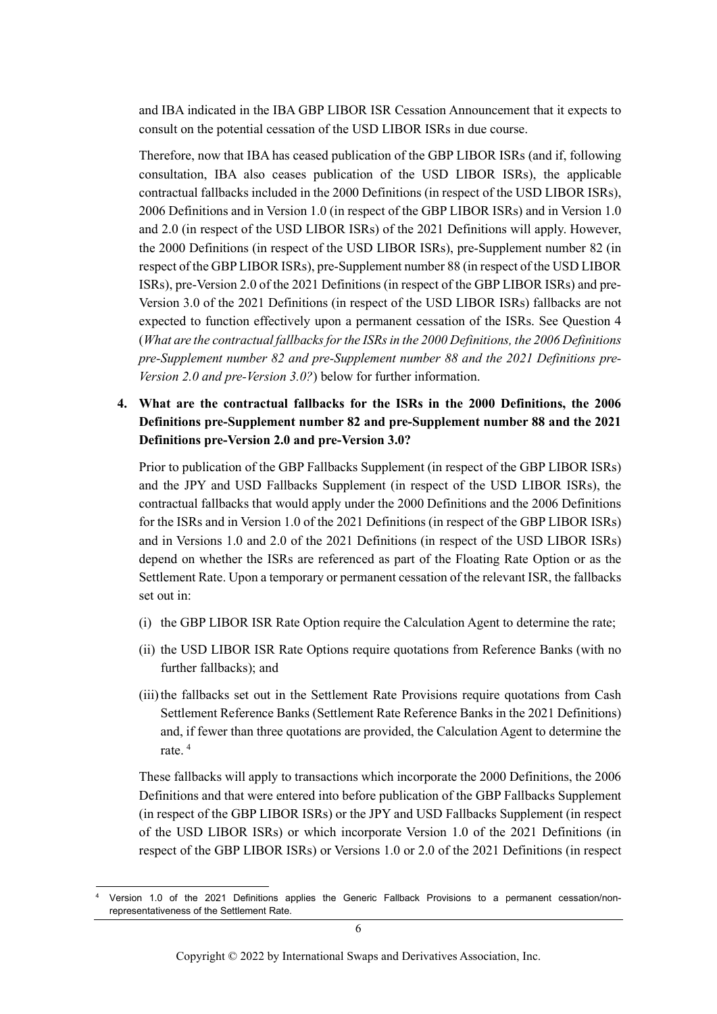and IBA indicated in the IBA GBP LIBOR ISR Cessation Announcement that it expects to consult on the potential cessation of the USD LIBOR ISRs in due course.

Therefore, now that IBA has ceased publication of the GBP LIBOR ISRs (and if, following consultation, IBA also ceases publication of the USD LIBOR ISRs), the applicable contractual fallbacks included in the 2000 Definitions (in respect of the USD LIBOR ISRs), 2006 Definitions and in Version 1.0 (in respect of the GBP LIBOR ISRs) and in Version 1.0 and 2.0 (in respect of the USD LIBOR ISRs) of the 2021 Definitions will apply. However, the 2000 Definitions (in respect of the USD LIBOR ISRs), pre-Supplement number 82 (in respect of the GBP LIBOR ISRs), pre-Supplement number 88 (in respect of the USD LIBOR ISRs), pre-Version 2.0 of the 2021 Definitions (in respect of the GBP LIBOR ISRs) and pre-Version 3.0 of the 2021 Definitions (in respect of the USD LIBOR ISRs) fallbacks are not expected to function effectively upon a permanent cessation of the ISRs. See Question 4 (*[What are the contractual fallbacks for the ISRs in the 2000 Definitions, the 2006 Definitions](#page-5-0)  [pre-Supplement number 82 and pre-Supplement number 88](#page-5-0) and the 2021 Definitions pre-[Version 2.0 and pre-Version 3.0?](#page-5-0)*) below for further information.

## <span id="page-5-0"></span>**4. What are the contractual fallbacks for the ISRs in the 2000 Definitions, the 2006 Definitions pre-Supplement number 82 and pre-Supplement number 88 and the 2021 Definitions pre-Version 2.0 and pre-Version 3.0?**

Prior to publication of the GBP Fallbacks Supplement (in respect of the GBP LIBOR ISRs) and the JPY and USD Fallbacks Supplement (in respect of the USD LIBOR ISRs), the contractual fallbacks that would apply under the 2000 Definitions and the 2006 Definitions for the ISRs and in Version 1.0 of the 2021 Definitions (in respect of the GBP LIBOR ISRs) and in Versions 1.0 and 2.0 of the 2021 Definitions (in respect of the USD LIBOR ISRs) depend on whether the ISRs are referenced as part of the Floating Rate Option or as the Settlement Rate. Upon a temporary or permanent cessation of the relevant ISR, the fallbacks set out in:

- (i) the GBP LIBOR ISR Rate Option require the Calculation Agent to determine the rate;
- (ii) the USD LIBOR ISR Rate Options require quotations from Reference Banks (with no further fallbacks); and
- (iii)the fallbacks set out in the Settlement Rate Provisions require quotations from Cash Settlement Reference Banks (Settlement Rate Reference Banks in the 2021 Definitions) and, if fewer than three quotations are provided, the Calculation Agent to determine the rate. [4](#page-5-1)

These fallbacks will apply to transactions which incorporate the 2000 Definitions, the 2006 Definitions and that were entered into before publication of the GBP Fallbacks Supplement (in respect of the GBP LIBOR ISRs) or the JPY and USD Fallbacks Supplement (in respect of the USD LIBOR ISRs) or which incorporate Version 1.0 of the 2021 Definitions (in respect of the GBP LIBOR ISRs) or Versions 1.0 or 2.0 of the 2021 Definitions (in respect

<span id="page-5-1"></span>Version 1.0 of the 2021 Definitions applies the Generic Fallback Provisions to a permanent cessation/nonrepresentativeness of the Settlement Rate.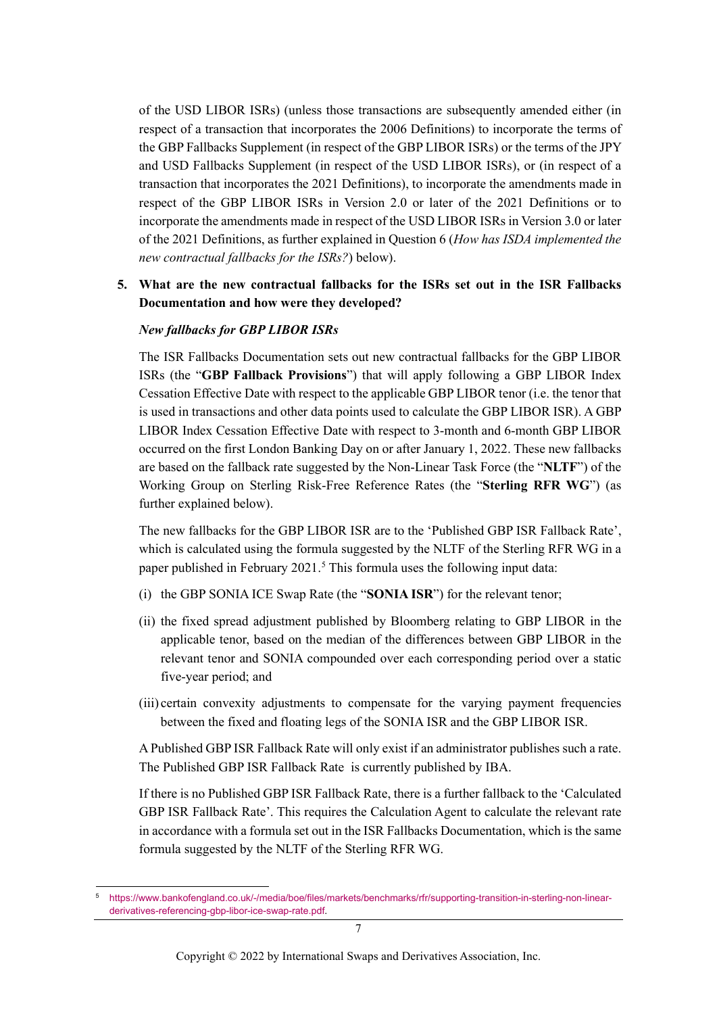of the USD LIBOR ISRs) (unless those transactions are subsequently amended either (in respect of a transaction that incorporates the 2006 Definitions) to incorporate the terms of the GBP Fallbacks Supplement (in respect of the GBP LIBOR ISRs) or the terms of the JPY and USD Fallbacks Supplement (in respect of the USD LIBOR ISRs), or (in respect of a transaction that incorporates the 2021 Definitions), to incorporate the amendments made in respect of the GBP LIBOR ISRs in Version 2.0 or later of the 2021 Definitions or to incorporate the amendments made in respect of the USD LIBOR ISRs in Version 3.0 or later of the 2021 Definitions, as further explained in Question 6 (*[How has ISDA implemented the](#page-8-0)  [new contractual fallbacks for the ISRs?](#page-8-0)*) below).

### <span id="page-6-1"></span>**5. What are the new contractual fallbacks for the ISRs set out in the ISR Fallbacks Documentation and how were they developed?**

#### *New fallbacks for GBP LIBOR ISRs*

The ISR Fallbacks Documentation sets out new contractual fallbacks for the GBP LIBOR ISRs (the "**GBP Fallback Provisions**") that will apply following a GBP LIBOR Index Cessation Effective Date with respect to the applicable GBP LIBOR tenor (i.e. the tenor that is used in transactions and other data points used to calculate the GBP LIBOR ISR). A GBP LIBOR Index Cessation Effective Date with respect to 3-month and 6-month GBP LIBOR occurred on the first London Banking Day on or after January 1, 2022. These new fallbacks are based on the fallback rate suggested by the Non-Linear Task Force (the "**NLTF**") of the Working Group on Sterling Risk-Free Reference Rates (the "**Sterling RFR WG**") (as further explained below).

The new fallbacks for the GBP LIBOR ISR are to the 'Published GBP ISR Fallback Rate', which is calculated using the formula suggested by the NLTF of the Sterling RFR WG in a paper published in February 2021.<sup>[5](#page-6-0)</sup> This formula uses the following input data:

- (i) the GBP SONIA ICE Swap Rate (the "**SONIA ISR**") for the relevant tenor;
- (ii) the fixed spread adjustment published by Bloomberg relating to GBP LIBOR in the applicable tenor, based on the median of the differences between GBP LIBOR in the relevant tenor and SONIA compounded over each corresponding period over a static five-year period; and
- (iii) certain convexity adjustments to compensate for the varying payment frequencies between the fixed and floating legs of the SONIA ISR and the GBP LIBOR ISR.

A Published GBP ISR Fallback Rate will only exist if an administrator publishes such a rate. The Published GBP ISR Fallback Rate is currently published by IBA.

If there is no Published GBP ISR Fallback Rate, there is a further fallback to the 'Calculated GBP ISR Fallback Rate'. This requires the Calculation Agent to calculate the relevant rate in accordance with a formula set out in the ISR Fallbacks Documentation, which is the same formula suggested by the NLTF of the Sterling RFR WG.

<span id="page-6-0"></span><sup>5</sup> [https://www.bankofengland.co.uk/-/media/boe/files/markets/benchmarks/rfr/supporting-transition-in-sterling-non-linear](https://www.bankofengland.co.uk/-/media/boe/files/markets/benchmarks/rfr/supporting-transition-in-sterling-non-linear-derivatives-referencing-gbp-libor-ice-swap-rate.pdf)[derivatives-referencing-gbp-libor-ice-swap-rate.pdf.](https://www.bankofengland.co.uk/-/media/boe/files/markets/benchmarks/rfr/supporting-transition-in-sterling-non-linear-derivatives-referencing-gbp-libor-ice-swap-rate.pdf)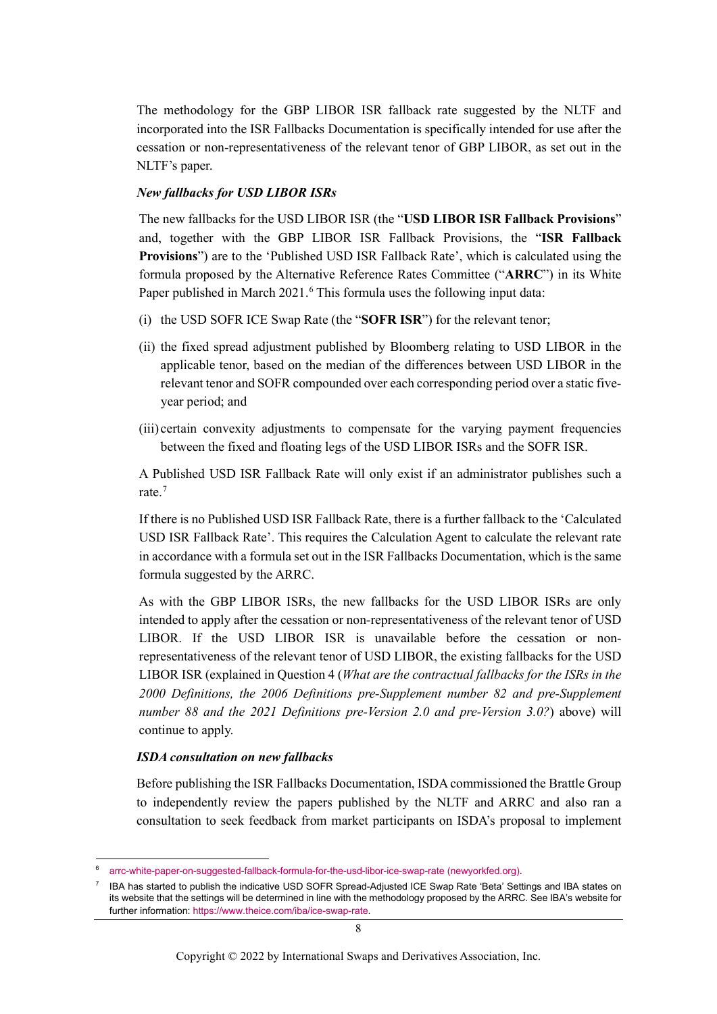The methodology for the GBP LIBOR ISR fallback rate suggested by the NLTF and incorporated into the ISR Fallbacks Documentation is specifically intended for use after the cessation or non-representativeness of the relevant tenor of GBP LIBOR, as set out in the NLTF's paper.

#### *New fallbacks for USD LIBOR ISRs*

The new fallbacks for the USD LIBOR ISR (the "**USD LIBOR ISR Fallback Provisions**" and, together with the GBP LIBOR ISR Fallback Provisions, the "**ISR Fallback Provisions**") are to the 'Published USD ISR Fallback Rate', which is calculated using the formula proposed by the Alternative Reference Rates Committee ("**ARRC**") in its White Paper published in March 2021.<sup>[6](#page-7-0)</sup> This formula uses the following input data:

- (i) the USD SOFR ICE Swap Rate (the "**SOFR ISR**") for the relevant tenor;
- (ii) the fixed spread adjustment published by Bloomberg relating to USD LIBOR in the applicable tenor, based on the median of the differences between USD LIBOR in the relevant tenor and SOFR compounded over each corresponding period over a static fiveyear period; and
- (iii) certain convexity adjustments to compensate for the varying payment frequencies between the fixed and floating legs of the USD LIBOR ISRs and the SOFR ISR.

A Published USD ISR Fallback Rate will only exist if an administrator publishes such a rate.[7](#page-7-1)

If there is no Published USD ISR Fallback Rate, there is a further fallback to the 'Calculated USD ISR Fallback Rate'. This requires the Calculation Agent to calculate the relevant rate in accordance with a formula set out in the ISR Fallbacks Documentation, which is the same formula suggested by the ARRC.

As with the GBP LIBOR ISRs, the new fallbacks for the USD LIBOR ISRs are only intended to apply after the cessation or non-representativeness of the relevant tenor of USD LIBOR. If the USD LIBOR ISR is unavailable before the cessation or nonrepresentativeness of the relevant tenor of USD LIBOR, the existing fallbacks for the USD LIBOR ISR (explained in Question 4 (*What are the contractual fallbacks for the ISRs in the 2000 Definitions, the 2006 Definitions pre-Supplement number 82 and pre-Supplement number 88 and the 2021 Definitions pre-Version 2.0 and pre-Version 3.0?*) above) will continue to apply.

#### *ISDA consultation on new fallbacks*

Before publishing the ISR Fallbacks Documentation, ISDA commissioned the Brattle Group to independently review the papers published by the NLTF and ARRC and also ran a consultation to seek feedback from market participants on ISDA's proposal to implement

<span id="page-7-0"></span><sup>6</sup> [arrc-white-paper-on-suggested-fallback-formula-for-the-usd-libor-ice-swap-rate \(newyorkfed.org\).](https://www.newyorkfed.org/medialibrary/Microsites/arrc/files/2021/arrc-white-paper-on-suggested-fallback-formula-for-the-usd-libor-ice-swap-rate)

<span id="page-7-1"></span><sup>7</sup> IBA has started to publish the indicative USD SOFR Spread-Adjusted ICE Swap Rate 'Beta' Settings and IBA states on its website that the settings will be determined in line with the methodology proposed by the ARRC. See IBA's website for further information[: https://www.theice.com/iba/ice-swap-rate.](https://www.theice.com/iba/ice-swap-rate)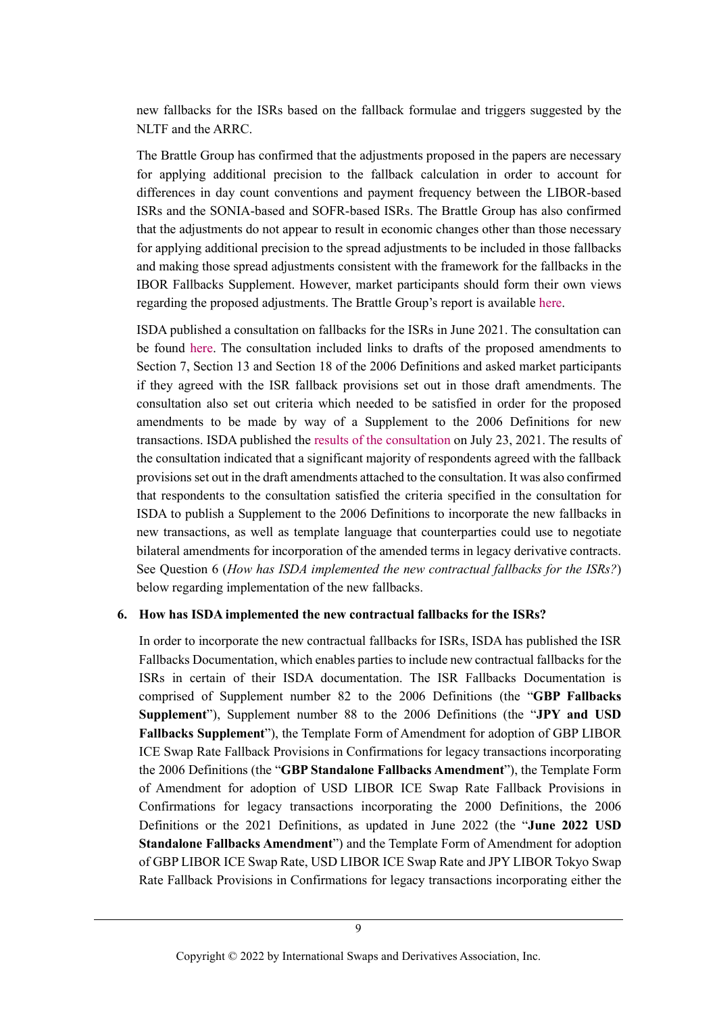new fallbacks for the ISRs based on the fallback formulae and triggers suggested by the NLTF and the ARRC.

The Brattle Group has confirmed that the adjustments proposed in the papers are necessary for applying additional precision to the fallback calculation in order to account for differences in day count conventions and payment frequency between the LIBOR-based ISRs and the SONIA-based and SOFR-based ISRs. The Brattle Group has also confirmed that the adjustments do not appear to result in economic changes other than those necessary for applying additional precision to the spread adjustments to be included in those fallbacks and making those spread adjustments consistent with the framework for the fallbacks in the IBOR Fallbacks Supplement. However, market participants should form their own views regarding the proposed adjustments. The Brattle Group's report is availabl[e here.](https://www.isda.org/a/v4TgE/Brattle-Report-on-ISR-Consultation.pdf)

ISDA published a consultation on fallbacks for the ISRs in June 2021. The consultation can be found [here.](https://www.isda.org/a/TzDgE/Consultation-on-GBP-and-USD-ISR-Fallbacks-Final.pdf) The consultation included links to drafts of the proposed amendments to Section 7, Section 13 and Section 18 of the 2006 Definitions and asked market participants if they agreed with the ISR fallback provisions set out in those draft amendments. The consultation also set out criteria which needed to be satisfied in order for the proposed amendments to be made by way of a Supplement to the 2006 Definitions for new transactions. ISDA published the [results of the consultation](https://www.isda.org/a/N0MgE/ISDA-Announces-Results-for-ICE-Swap-Rate-Fallbacks-Consultation.pdf) on July 23, 2021. The results of the consultation indicated that a significant majority of respondents agreed with the fallback provisions set out in the draft amendments attached to the consultation. It was also confirmed that respondents to the consultation satisfied the criteria specified in the consultation for ISDA to publish a Supplement to the 2006 Definitions to incorporate the new fallbacks in new transactions, as well as template language that counterparties could use to negotiate bilateral amendments for incorporation of the amended terms in legacy derivative contracts. See Question 6 (*[How has ISDA implemented the new contractual fallbacks for the ISRs?](#page-8-0)*) below regarding implementation of the new fallbacks.

#### <span id="page-8-0"></span>**6. How has ISDA implemented the new contractual fallbacks for the ISRs?**

In order to incorporate the new contractual fallbacks for ISRs, ISDA has published the ISR Fallbacks Documentation, which enables parties to include new contractual fallbacks for the ISRs in certain of their ISDA documentation. The ISR Fallbacks Documentation is comprised of Supplement number 82 to the 2006 Definitions (the "**GBP Fallbacks Supplement**"), Supplement number 88 to the 2006 Definitions (the "**JPY and USD Fallbacks Supplement**"), the Template Form of Amendment for adoption of GBP LIBOR ICE Swap Rate Fallback Provisions in Confirmations for legacy transactions incorporating the 2006 Definitions (the "**GBP Standalone Fallbacks Amendment**"), the Template Form of Amendment for adoption of USD LIBOR ICE Swap Rate Fallback Provisions in Confirmations for legacy transactions incorporating the 2000 Definitions, the 2006 Definitions or the 2021 Definitions, as updated in June 2022 (the "**June 2022 USD Standalone Fallbacks Amendment**") and the Template Form of Amendment for adoption of GBP LIBOR ICE Swap Rate, USD LIBOR ICE Swap Rate and JPY LIBOR Tokyo Swap Rate Fallback Provisions in Confirmations for legacy transactions incorporating either the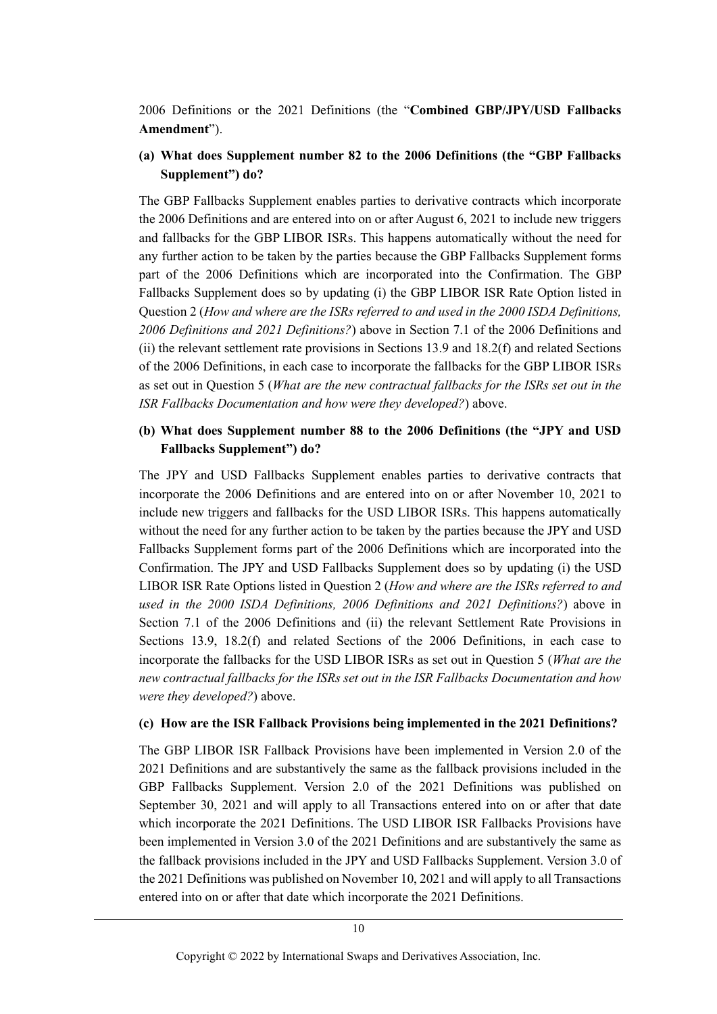2006 Definitions or the 2021 Definitions (the "**Combined GBP/JPY/USD Fallbacks Amendment**").

## **(a) What does Supplement number 82 to the 2006 Definitions (the "GBP Fallbacks Supplement") do?**

The GBP Fallbacks Supplement enables parties to derivative contracts which incorporate the 2006 Definitions and are entered into on or after August 6, 2021 to include new triggers and fallbacks for the GBP LIBOR ISRs. This happens automatically without the need for any further action to be taken by the parties because the GBP Fallbacks Supplement forms part of the 2006 Definitions which are incorporated into the Confirmation. The GBP Fallbacks Supplement does so by updating (i) the GBP LIBOR ISR Rate Option listed in Question 2 (*[How and where are the ISRs referred to and used in the 2000 ISDA Definitions,](#page-3-2)  [2006 Definitions and 2021 Definitions?](#page-3-2)*) above in Section 7.1 of the 2006 Definitions and (ii) the relevant settlement rate provisions in Sections 13.9 and 18.2(f) and related Sections of the 2006 Definitions, in each case to incorporate the fallbacks for the GBP LIBOR ISRs as set out in Question 5 (*What [are the new contractual fallbacks for the ISRs set out in the](#page-6-1)  [ISR Fallbacks Documentation and how were they developed?](#page-6-1)*) above.

## **(b) What does Supplement number 88 to the 2006 Definitions (the "JPY and USD Fallbacks Supplement") do?**

The JPY and USD Fallbacks Supplement enables parties to derivative contracts that incorporate the 2006 Definitions and are entered into on or after November 10, 2021 to include new triggers and fallbacks for the USD LIBOR ISRs. This happens automatically without the need for any further action to be taken by the parties because the JPY and USD Fallbacks Supplement forms part of the 2006 Definitions which are incorporated into the Confirmation. The JPY and USD Fallbacks Supplement does so by updating (i) the USD LIBOR ISR Rate Options listed in Question 2 (*[How and where are the ISRs referred to and](#page-3-2)  [used in the 2000 ISDA Definitions, 2006 Definitions and 2021 Definitions?](#page-3-2)*) above in Section 7.1 of the 2006 Definitions and (ii) the relevant Settlement Rate Provisions in Sections 13.9, 18.2(f) and related Sections of the 2006 Definitions, in each case to incorporate the fallbacks for the USD LIBOR ISRs as set out in Question 5 (*[What are the](#page-6-1)  [new contractual fallbacks for the ISRs set out in the ISR Fallbacks Documentation and how](#page-6-1)  [were they developed?](#page-6-1)*) above.

#### **(c) How are the ISR Fallback Provisions being implemented in the 2021 Definitions?**

The GBP LIBOR ISR Fallback Provisions have been implemented in Version 2.0 of the 2021 Definitions and are substantively the same as the fallback provisions included in the GBP Fallbacks Supplement. Version 2.0 of the 2021 Definitions was published on September 30, 2021 and will apply to all Transactions entered into on or after that date which incorporate the 2021 Definitions. The USD LIBOR ISR Fallbacks Provisions have been implemented in Version 3.0 of the 2021 Definitions and are substantively the same as the fallback provisions included in the JPY and USD Fallbacks Supplement. Version 3.0 of the 2021 Definitions was published on November 10, 2021 and will apply to all Transactions entered into on or after that date which incorporate the 2021 Definitions.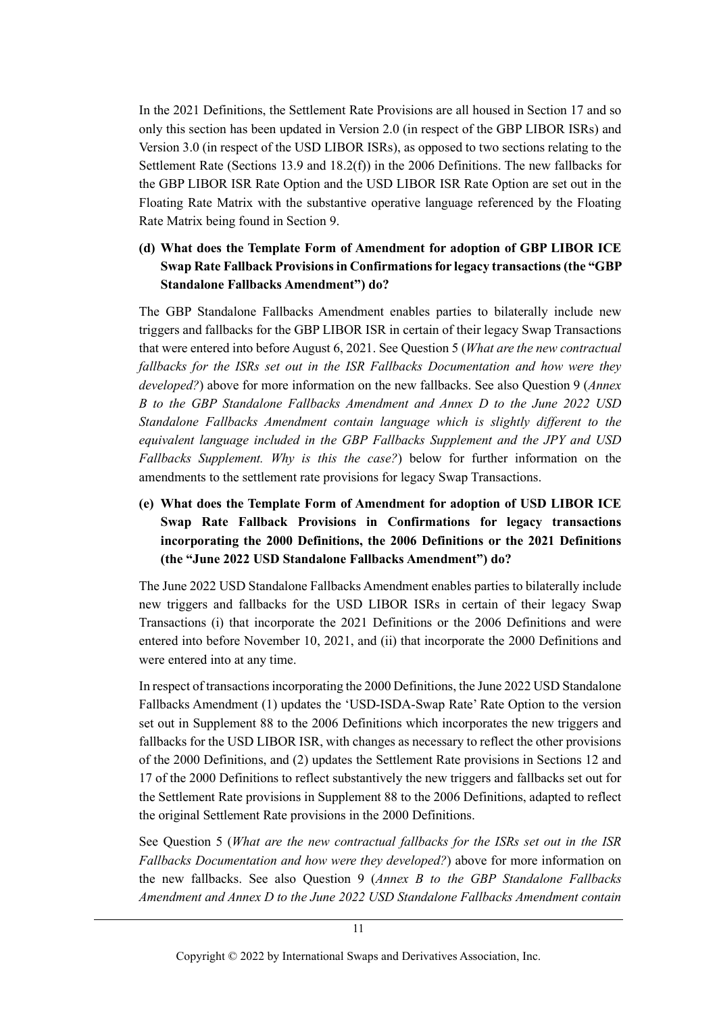In the 2021 Definitions, the Settlement Rate Provisions are all housed in Section 17 and so only this section has been updated in Version 2.0 (in respect of the GBP LIBOR ISRs) and Version 3.0 (in respect of the USD LIBOR ISRs), as opposed to two sections relating to the Settlement Rate (Sections 13.9 and 18.2(f)) in the 2006 Definitions. The new fallbacks for the GBP LIBOR ISR Rate Option and the USD LIBOR ISR Rate Option are set out in the Floating Rate Matrix with the substantive operative language referenced by the Floating Rate Matrix being found in Section 9.

## **(d) What does the Template Form of Amendment for adoption of GBP LIBOR ICE Swap Rate Fallback Provisions in Confirmations for legacy transactions (the "GBP Standalone Fallbacks Amendment") do?**

The GBP Standalone Fallbacks Amendment enables parties to bilaterally include new triggers and fallbacks for the GBP LIBOR ISR in certain of their legacy Swap Transactions that were entered into before August 6, 2021. See Question 5 (*[What are the new contractual](#page-6-1)  [fallbacks for the ISRs set out in the ISR Fallbacks Documentation and how were they](#page-6-1)  [developed?](#page-6-1)*) above for more information on the new fallbacks. See also Question 9 (*[Annex](#page-13-0)  [B to the GBP Standalone Fallbacks Amendment and Annex D to the June 2022 USD](#page-13-0)  [Standalone Fallbacks Amendment contain language which is slightly different to the](#page-13-0)  [equivalent language included in the GBP Fallbacks Supplement and the JPY and USD](#page-13-0)  [Fallbacks Supplement. Why is this the case?](#page-13-0)*) below for further information on the amendments to the settlement rate provisions for legacy Swap Transactions.

# **(e) What does the Template Form of Amendment for adoption of USD LIBOR ICE Swap Rate Fallback Provisions in Confirmations for legacy transactions incorporating the 2000 Definitions, the 2006 Definitions or the 2021 Definitions (the "June 2022 USD Standalone Fallbacks Amendment") do?**

The June 2022 USD Standalone Fallbacks Amendment enables parties to bilaterally include new triggers and fallbacks for the USD LIBOR ISRs in certain of their legacy Swap Transactions (i) that incorporate the 2021 Definitions or the 2006 Definitions and were entered into before November 10, 2021, and (ii) that incorporate the 2000 Definitions and were entered into at any time.

In respect of transactions incorporating the 2000 Definitions, the June 2022 USD Standalone Fallbacks Amendment (1) updates the 'USD-ISDA-Swap Rate' Rate Option to the version set out in Supplement 88 to the 2006 Definitions which incorporates the new triggers and fallbacks for the USD LIBOR ISR, with changes as necessary to reflect the other provisions of the 2000 Definitions, and (2) updates the Settlement Rate provisions in Sections 12 and 17 of the 2000 Definitions to reflect substantively the new triggers and fallbacks set out for the Settlement Rate provisions in Supplement 88 to the 2006 Definitions, adapted to reflect the original Settlement Rate provisions in the 2000 Definitions.

See Question 5 (*[What are the new contractual fallbacks for the ISRs set out in the ISR](#page-6-1)  [Fallbacks Documentation and how were they developed?](#page-6-1)*) above for more information on the new fallbacks. See also Question 9 (*[Annex B to the GBP Standalone Fallbacks](#page-13-0)  [Amendment and Annex D to the June 2022 USD Standalone Fallbacks Amendment contain](#page-13-0)*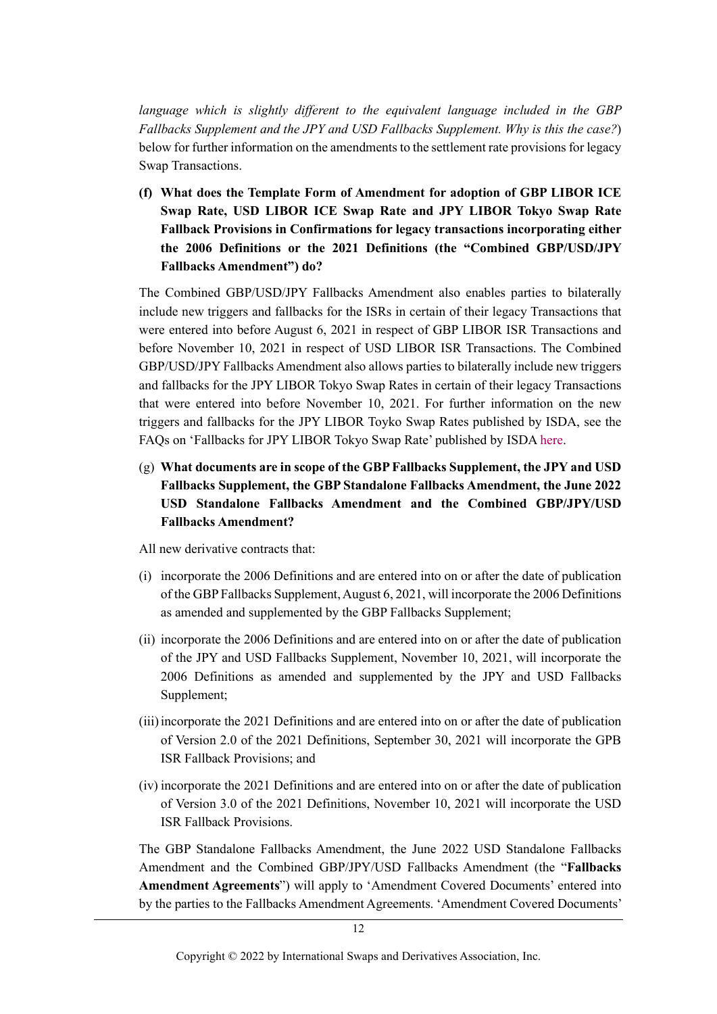*[language which is slightly different to the equivalent language included in the GBP](#page-13-0)  [Fallbacks Supplement and the JPY and USD Fallbacks Supplement. Why is this the case?](#page-13-0)*) below for further information on the amendments to the settlement rate provisions for legacy Swap Transactions.

**(f) What does the Template Form of Amendment for adoption of GBP LIBOR ICE Swap Rate, USD LIBOR ICE Swap Rate and JPY LIBOR Tokyo Swap Rate Fallback Provisions in Confirmations for legacy transactions incorporating either the 2006 Definitions or the 2021 Definitions (the "Combined GBP/USD/JPY Fallbacks Amendment") do?**

The Combined GBP/USD/JPY Fallbacks Amendment also enables parties to bilaterally include new triggers and fallbacks for the ISRs in certain of their legacy Transactions that were entered into before August 6, 2021 in respect of GBP LIBOR ISR Transactions and before November 10, 2021 in respect of USD LIBOR ISR Transactions. The Combined GBP/USD/JPY Fallbacks Amendment also allows parties to bilaterally include new triggers and fallbacks for the JPY LIBOR Tokyo Swap Rates in certain of their legacy Transactions that were entered into before November 10, 2021. For further information on the new triggers and fallbacks for the JPY LIBOR Toyko Swap Rates published by ISDA, see the FAQs on 'Fallbacks for JPY LIBOR Tokyo Swap Rate' published by ISD[A here.](https://www.isda.org/a/LwngE/JPY-Swap-Rate-FAQs-Publication-Version.pdf)

(g) **What documents are in scope of the GBP Fallbacks Supplement, the JPY and USD Fallbacks Supplement, the GBP Standalone Fallbacks Amendment, the June 2022 USD Standalone Fallbacks Amendment and the Combined GBP/JPY/USD Fallbacks Amendment?**

All new derivative contracts that:

- (i) incorporate the 2006 Definitions and are entered into on or after the date of publication of the GBP Fallbacks Supplement, August 6, 2021, will incorporate the 2006 Definitions as amended and supplemented by the GBP Fallbacks Supplement;
- (ii) incorporate the 2006 Definitions and are entered into on or after the date of publication of the JPY and USD Fallbacks Supplement, November 10, 2021, will incorporate the 2006 Definitions as amended and supplemented by the JPY and USD Fallbacks Supplement;
- (iii)incorporate the 2021 Definitions and are entered into on or after the date of publication of Version 2.0 of the 2021 Definitions, September 30, 2021 will incorporate the GPB ISR Fallback Provisions; and
- (iv) incorporate the 2021 Definitions and are entered into on or after the date of publication of Version 3.0 of the 2021 Definitions, November 10, 2021 will incorporate the USD ISR Fallback Provisions.

The GBP Standalone Fallbacks Amendment, the June 2022 USD Standalone Fallbacks Amendment and the Combined GBP/JPY/USD Fallbacks Amendment (the "**Fallbacks Amendment Agreements**") will apply to 'Amendment Covered Documents' entered into by the parties to the Fallbacks Amendment Agreements. 'Amendment Covered Documents'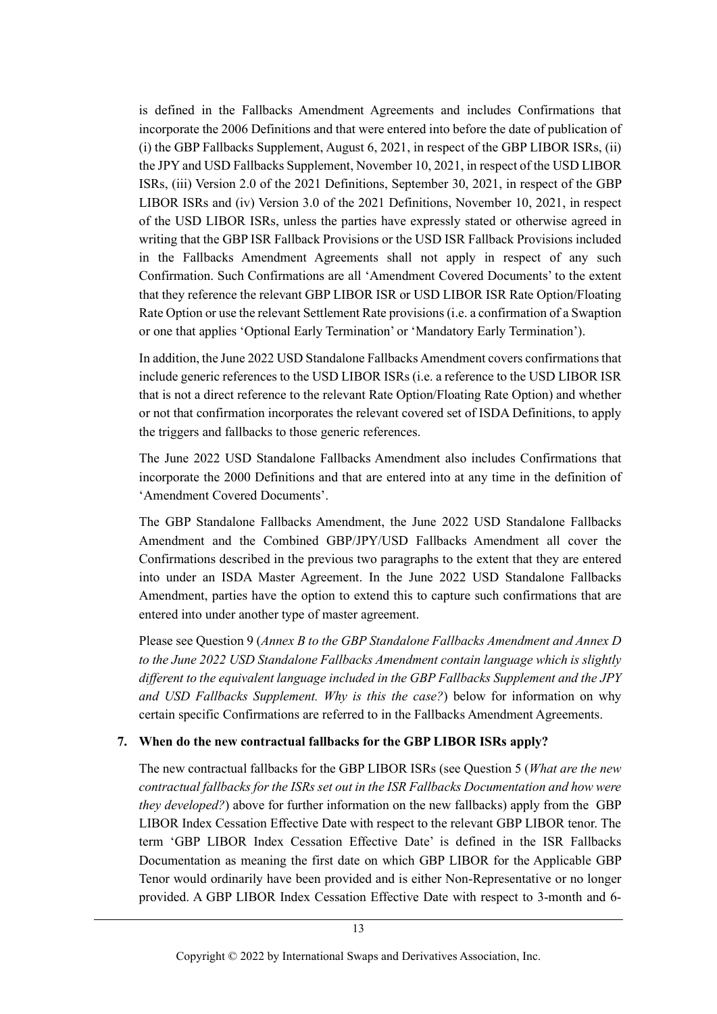is defined in the Fallbacks Amendment Agreements and includes Confirmations that incorporate the 2006 Definitions and that were entered into before the date of publication of (i) the GBP Fallbacks Supplement, August 6, 2021, in respect of the GBP LIBOR ISRs, (ii) the JPY and USD Fallbacks Supplement, November 10, 2021, in respect of the USD LIBOR ISRs, (iii) Version 2.0 of the 2021 Definitions, September 30, 2021, in respect of the GBP LIBOR ISRs and (iv) Version 3.0 of the 2021 Definitions, November 10, 2021, in respect of the USD LIBOR ISRs, unless the parties have expressly stated or otherwise agreed in writing that the GBP ISR Fallback Provisions or the USD ISR Fallback Provisions included in the Fallbacks Amendment Agreements shall not apply in respect of any such Confirmation. Such Confirmations are all 'Amendment Covered Documents' to the extent that they reference the relevant GBP LIBOR ISR or USD LIBOR ISR Rate Option/Floating Rate Option or use the relevant Settlement Rate provisions (i.e. a confirmation of a Swaption or one that applies 'Optional Early Termination' or 'Mandatory Early Termination').

In addition, the June 2022 USD Standalone Fallbacks Amendment covers confirmations that include generic references to the USD LIBOR ISRs (i.e. a reference to the USD LIBOR ISR that is not a direct reference to the relevant Rate Option/Floating Rate Option) and whether or not that confirmation incorporates the relevant covered set of ISDA Definitions, to apply the triggers and fallbacks to those generic references.

The June 2022 USD Standalone Fallbacks Amendment also includes Confirmations that incorporate the 2000 Definitions and that are entered into at any time in the definition of 'Amendment Covered Documents'.

The GBP Standalone Fallbacks Amendment, the June 2022 USD Standalone Fallbacks Amendment and the Combined GBP/JPY/USD Fallbacks Amendment all cover the Confirmations described in the previous two paragraphs to the extent that they are entered into under an ISDA Master Agreement. In the June 2022 USD Standalone Fallbacks Amendment, parties have the option to extend this to capture such confirmations that are entered into under another type of master agreement.

Please see Question 9 (*[Annex B to the GBP Standalone Fallbacks Amendment and Annex D](#page-13-0)  [to the June 2022 USD Standalone Fallbacks Amendment contain language which is slightly](#page-13-0)  [different to the equivalent language included in the GBP Fallbacks Supplement and the](#page-13-0) JPY [and USD Fallbacks Supplement. Why is this the case?](#page-13-0)*) below for information on why certain specific Confirmations are referred to in the Fallbacks Amendment Agreements.

### **7. When do the new contractual fallbacks for the GBP LIBOR ISRs apply?**

The new contractual fallbacks for the GBP LIBOR ISRs (see Question 5 (*[What are the new](#page-6-1)  [contractual fallbacks for the ISRs set out in the ISR Fallbacks Documentation and how were](#page-6-1)  [they developed?](#page-6-1)*) above for further information on the new fallbacks) apply from the GBP LIBOR Index Cessation Effective Date with respect to the relevant GBP LIBOR tenor. The term 'GBP LIBOR Index Cessation Effective Date' is defined in the ISR Fallbacks Documentation as meaning the first date on which GBP LIBOR for the Applicable GBP Tenor would ordinarily have been provided and is either Non-Representative or no longer provided. A GBP LIBOR Index Cessation Effective Date with respect to 3-month and 6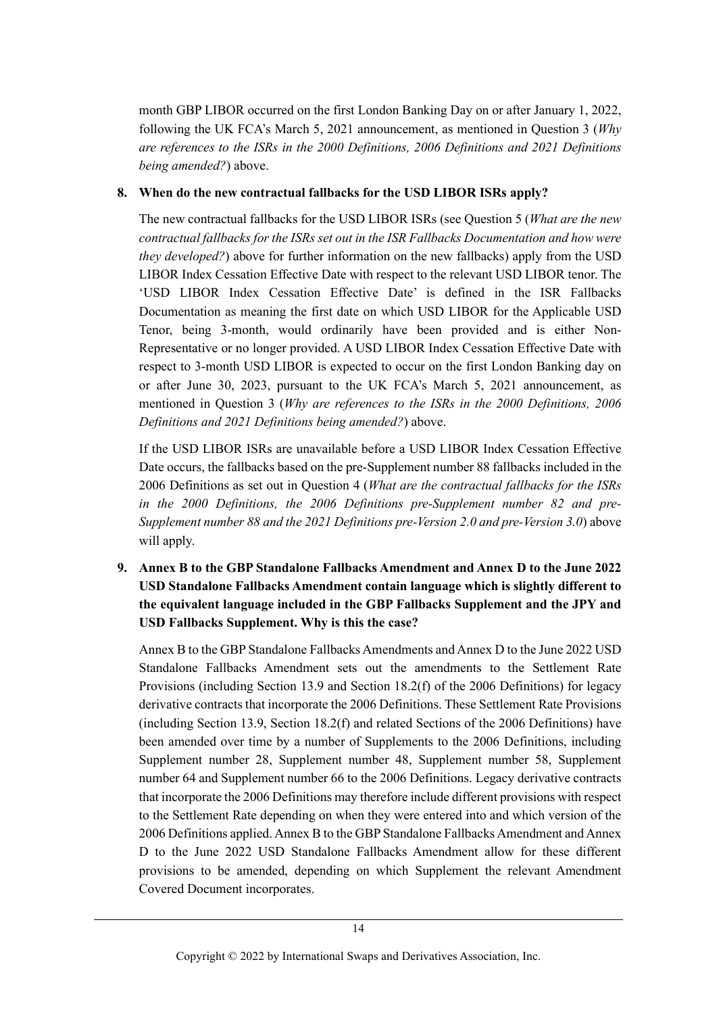month GBP LIBOR occurred on the first London Banking Day on or after January 1, 2022, following the UK FCA's March 5, 2021 announcement, as mentioned in Question 3 (*[Why](#page-4-2)  [are references to the ISRs in the 2000 Definitions, 2006 Definitions and 2021 Definitions](#page-4-2)  [being amended?](#page-4-2)*) above.

### **8. When do the new contractual fallbacks for the USD LIBOR ISRs apply?**

The new contractual fallbacks for the USD LIBOR ISRs (see Question 5 (*[What are the new](#page-6-1)  [contractual fallbacks for the ISRs set out in the ISR Fallbacks Documentation and how were](#page-6-1)  [they developed?](#page-6-1)*) above for further information on the new fallbacks) apply from the USD LIBOR Index Cessation Effective Date with respect to the relevant USD LIBOR tenor. The 'USD LIBOR Index Cessation Effective Date' is defined in the ISR Fallbacks Documentation as meaning the first date on which USD LIBOR for the Applicable USD Tenor, being 3-month, would ordinarily have been provided and is either Non-Representative or no longer provided. A USD LIBOR Index Cessation Effective Date with respect to 3-month USD LIBOR is expected to occur on the first London Banking day on or after June 30, 2023, pursuant to the UK FCA's March 5, 2021 announcement, as mentioned in Question 3 (*[Why are references to the ISRs in the 2000 Definitions, 2006](#page-4-2)  [Definitions and 2021 Definitions being](#page-4-2) amended?*) above.

If the USD LIBOR ISRs are unavailable before a USD LIBOR Index Cessation Effective Date occurs, the fallbacks based on the pre-Supplement number 88 fallbacks included in the 2006 Definitions as set out in Question 4 (*What are the contractual fallbacks for the ISRs in the 2000 Definitions, the 2006 Definitions pre-Supplement number 82 and pre-Supplement number 88 and the 2021 Definitions pre-Version 2.0 and pre-Version 3.0*) above will apply.

<span id="page-13-0"></span>**9. Annex B to the GBP Standalone Fallbacks Amendment and Annex D to the June 2022 USD Standalone Fallbacks Amendment contain language which is slightly different to the equivalent language included in the GBP Fallbacks Supplement and the JPY and USD Fallbacks Supplement. Why is this the case?** 

Annex B to the GBP Standalone Fallbacks Amendments and Annex D to the June 2022 USD Standalone Fallbacks Amendment sets out the amendments to the Settlement Rate Provisions (including Section 13.9 and Section 18.2(f) of the 2006 Definitions) for legacy derivative contracts that incorporate the 2006 Definitions. These Settlement Rate Provisions (including Section 13.9, Section 18.2(f) and related Sections of the 2006 Definitions) have been amended over time by a number of Supplements to the 2006 Definitions, including Supplement number 28, Supplement number 48, Supplement number 58, Supplement number 64 and Supplement number 66 to the 2006 Definitions. Legacy derivative contracts that incorporate the 2006 Definitions may therefore include different provisions with respect to the Settlement Rate depending on when they were entered into and which version of the 2006 Definitions applied. Annex B to the GBP Standalone Fallbacks Amendment and Annex D to the June 2022 USD Standalone Fallbacks Amendment allow for these different provisions to be amended, depending on which Supplement the relevant Amendment Covered Document incorporates.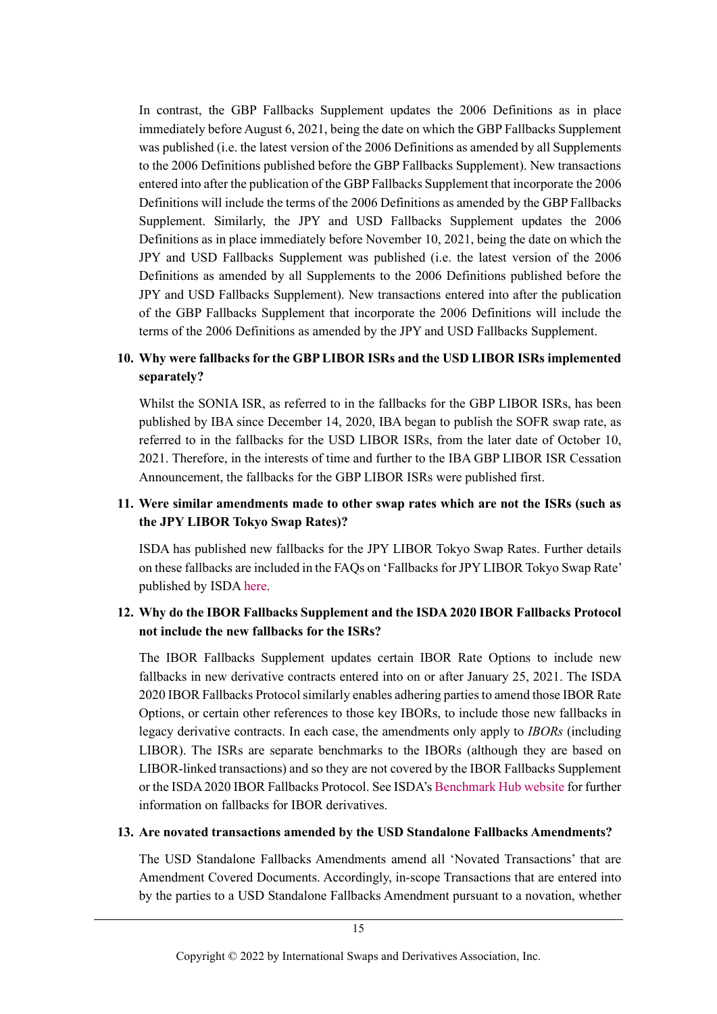In contrast, the GBP Fallbacks Supplement updates the 2006 Definitions as in place immediately before August 6, 2021, being the date on which the GBP Fallbacks Supplement was published (i.e. the latest version of the 2006 Definitions as amended by all Supplements to the 2006 Definitions published before the GBP Fallbacks Supplement). New transactions entered into after the publication of the GBP Fallbacks Supplement that incorporate the 2006 Definitions will include the terms of the 2006 Definitions as amended by the GBP Fallbacks Supplement. Similarly, the JPY and USD Fallbacks Supplement updates the 2006 Definitions as in place immediately before November 10, 2021, being the date on which the JPY and USD Fallbacks Supplement was published (i.e. the latest version of the 2006 Definitions as amended by all Supplements to the 2006 Definitions published before the JPY and USD Fallbacks Supplement). New transactions entered into after the publication of the GBP Fallbacks Supplement that incorporate the 2006 Definitions will include the terms of the 2006 Definitions as amended by the JPY and USD Fallbacks Supplement.

## **10. Why were fallbacks for the GBP LIBOR ISRs and the USD LIBOR ISRs implemented separately?**

Whilst the SONIA ISR, as referred to in the fallbacks for the GBP LIBOR ISRs, has been published by IBA since December 14, 2020, IBA began to publish the SOFR swap rate, as referred to in the fallbacks for the USD LIBOR ISRs, from the later date of October 10, 2021. Therefore, in the interests of time and further to the IBA GBP LIBOR ISR Cessation Announcement, the fallbacks for the GBP LIBOR ISRs were published first.

### <span id="page-14-0"></span>**11. Were similar amendments made to other swap rates which are not the ISRs (such as the JPY LIBOR Tokyo Swap Rates)?**

ISDA has published new fallbacks for the JPY LIBOR Tokyo Swap Rates. Further details on these fallbacks are included in the FAQs on 'Fallbacks for JPY LIBOR Tokyo Swap Rate' published by ISD[A here.](https://www.isda.org/a/LwngE/JPY-Swap-Rate-FAQs-Publication-Version.pdf)

### **12. Why do the IBOR Fallbacks Supplement and the ISDA 2020 IBOR Fallbacks Protocol not include the new fallbacks for the ISRs?**

The IBOR Fallbacks Supplement updates certain IBOR Rate Options to include new fallbacks in new derivative contracts entered into on or after January 25, 2021. The ISDA 2020 IBOR Fallbacks Protocol similarly enables adhering parties to amend those IBOR Rate Options, or certain other references to those key IBORs, to include those new fallbacks in legacy derivative contracts. In each case, the amendments only apply to *IBORs* (including LIBOR). The ISRs are separate benchmarks to the IBORs (although they are based on LIBOR-linked transactions) and so they are not covered by the IBOR Fallbacks Supplement or the ISDA 2020 IBOR Fallbacks Protocol. See ISDA's [Benchmark Hub website](https://www.isda.org/2020/05/11/benchmark-reform-and-transition-from-libor/#derivatives) for further information on fallbacks for IBOR derivatives.

#### **13. Are novated transactions amended by the USD Standalone Fallbacks Amendments?**

The USD Standalone Fallbacks Amendments amend all 'Novated Transactions' that are Amendment Covered Documents. Accordingly, in-scope Transactions that are entered into by the parties to a USD Standalone Fallbacks Amendment pursuant to a novation, whether